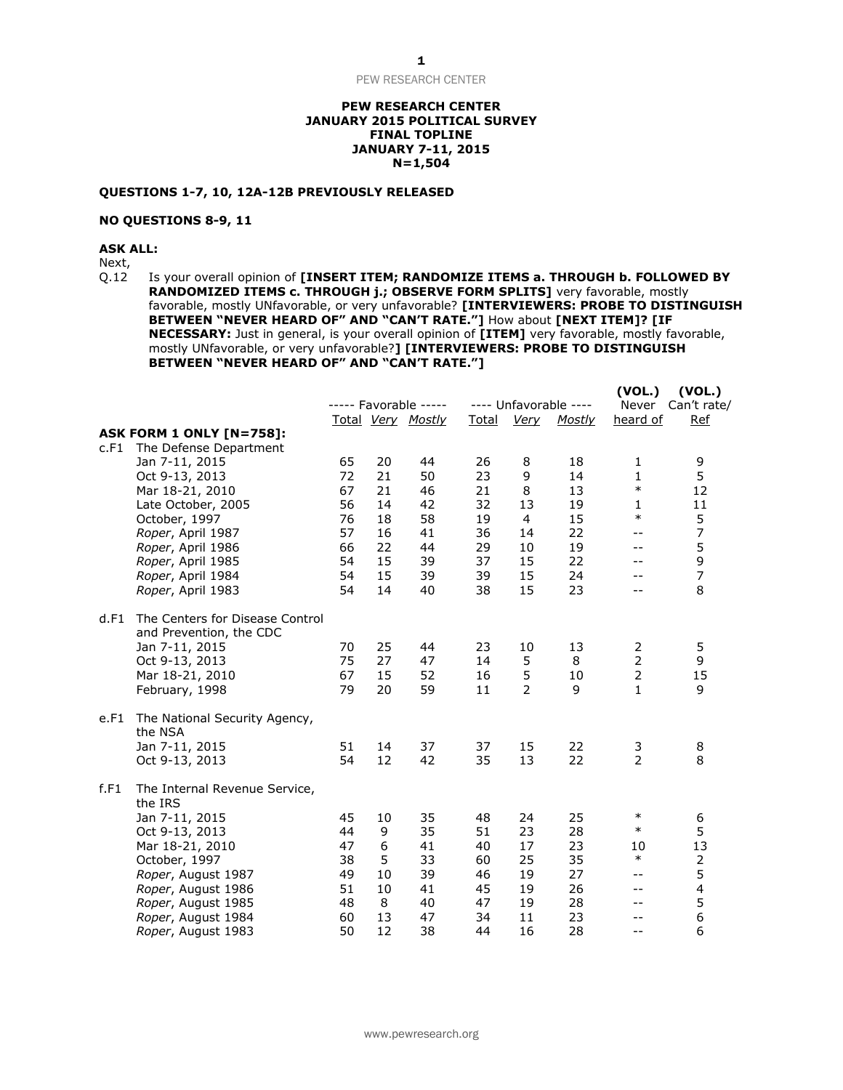PEW RESEARCH CENTER

## **PEW RESEARCH CENTER JANUARY 2015 POLITICAL SURVEY FINAL TOPLINE JANUARY 7-11, 2015 N=1,504**

## **QUESTIONS 1-7, 10, 12A-12B PREVIOUSLY RELEASED**

# **NO QUESTIONS 8-9, 11**

**ASK ALL:**

Next,<br>Q.12

Is your overall opinion of **[INSERT ITEM; RANDOMIZE ITEMS a. THROUGH b. FOLLOWED BY RANDOMIZED ITEMS c. THROUGH j.; OBSERVE FORM SPLITS]** very favorable, mostly favorable, mostly UNfavorable, or very unfavorable? **[INTERVIEWERS: PROBE TO DISTINGUISH BETWEEN "NEVER HEARD OF" AND "CAN'T RATE."]** How about **[NEXT ITEM]? [IF NECESSARY:** Just in general, is your overall opinion of **[ITEM]** very favorable, mostly favorable, mostly UNfavorable, or very unfavorable?**] [INTERVIEWERS: PROBE TO DISTINGUISH BETWEEN "NEVER HEARD OF" AND "CAN'T RATE."]**

|      |                                                            |    |    | ----- Favorable ----- | Total |                | ---- Unfavorable ---- | (VOL.)<br>Never | (VOL.)<br>Can't rate/   |
|------|------------------------------------------------------------|----|----|-----------------------|-------|----------------|-----------------------|-----------------|-------------------------|
|      | <b>ASK FORM 1 ONLY [N=758]:</b>                            |    |    | Total Very Mostly     |       | <b>Very</b>    | <b>Mostly</b>         | heard of        | <b>Ref</b>              |
| c.F1 | The Defense Department                                     |    |    |                       |       |                |                       |                 |                         |
|      | Jan 7-11, 2015                                             | 65 | 20 | 44                    | 26    | 8              | 18                    | $\mathbf{1}$    | 9                       |
|      | Oct 9-13, 2013                                             | 72 | 21 | 50                    | 23    | 9              | 14                    | $\mathbf{1}$    | 5                       |
|      | Mar 18-21, 2010                                            | 67 | 21 | 46                    | 21    | 8              | 13                    | $\ast$          | 12                      |
|      | Late October, 2005                                         | 56 | 14 | 42                    | 32    | 13             | 19                    | $\mathbf{1}$    | 11                      |
|      | October, 1997                                              | 76 | 18 | 58                    | 19    | 4              | 15                    | $\ast$          | 5                       |
|      | Roper, April 1987                                          | 57 | 16 | 41                    | 36    | 14             | 22                    | $- -$           | $\overline{7}$          |
|      | Roper, April 1986                                          | 66 | 22 | 44                    | 29    | 10             | 19                    | $- -$           | 5                       |
|      | Roper, April 1985                                          | 54 | 15 | 39                    | 37    | 15             | 22                    | --              | 9                       |
|      | Roper, April 1984                                          | 54 | 15 | 39                    | 39    | 15             | 24                    | $- -$           | $\overline{7}$          |
|      | Roper, April 1983                                          | 54 | 14 | 40                    | 38    | 15             | 23                    | $-1$            | 8                       |
| d.F1 | The Centers for Disease Control<br>and Prevention, the CDC |    |    |                       |       |                |                       |                 |                         |
|      | Jan 7-11, 2015                                             | 70 | 25 | 44                    | 23    | 10             | 13                    | 2               | 5                       |
|      | Oct 9-13, 2013                                             | 75 | 27 | 47                    | 14    | 5              | 8                     | $\overline{2}$  | 9                       |
|      | Mar 18-21, 2010                                            | 67 | 15 | 52                    | 16    | 5              | 10                    | $\overline{2}$  | 15                      |
|      | February, 1998                                             | 79 | 20 | 59                    | 11    | $\overline{2}$ | 9                     | $\mathbf{1}$    | 9                       |
| e.F1 | The National Security Agency,<br>the NSA                   |    |    |                       |       |                |                       |                 |                         |
|      | Jan 7-11, 2015                                             | 51 | 14 | 37                    | 37    | 15             | 22                    | 3               | 8                       |
|      | Oct 9-13, 2013                                             | 54 | 12 | 42                    | 35    | 13             | 22                    | $\overline{2}$  | 8                       |
| f.F1 | The Internal Revenue Service,<br>the IRS                   |    |    |                       |       |                |                       |                 |                         |
|      | Jan 7-11, 2015                                             | 45 | 10 | 35                    | 48    | 24             | 25                    | $\ast$          | 6                       |
|      | Oct 9-13, 2013                                             | 44 | 9  | 35                    | 51    | 23             | 28                    | $\ast$          | 5                       |
|      | Mar 18-21, 2010                                            | 47 | 6  | 41                    | 40    | 17             | 23                    | 10              | 13                      |
|      | October, 1997                                              | 38 | 5  | 33                    | 60    | 25             | 35                    | $\ast$          | 2                       |
|      | Roper, August 1987                                         | 49 | 10 | 39                    | 46    | 19             | 27                    | $- -$           | 5                       |
|      | Roper, August 1986                                         | 51 | 10 | 41                    | 45    | 19             | 26                    | $- -$           | $\overline{\mathbf{4}}$ |
|      | Roper, August 1985                                         | 48 | 8  | 40                    | 47    | 19             | 28                    | $- -$           | 5                       |
|      | Roper, August 1984                                         | 60 | 13 | 47                    | 34    | 11             | 23                    | --              | 6                       |
|      | Roper, August 1983                                         | 50 | 12 | 38                    | 44    | 16             | 28                    | $- -$           | 6                       |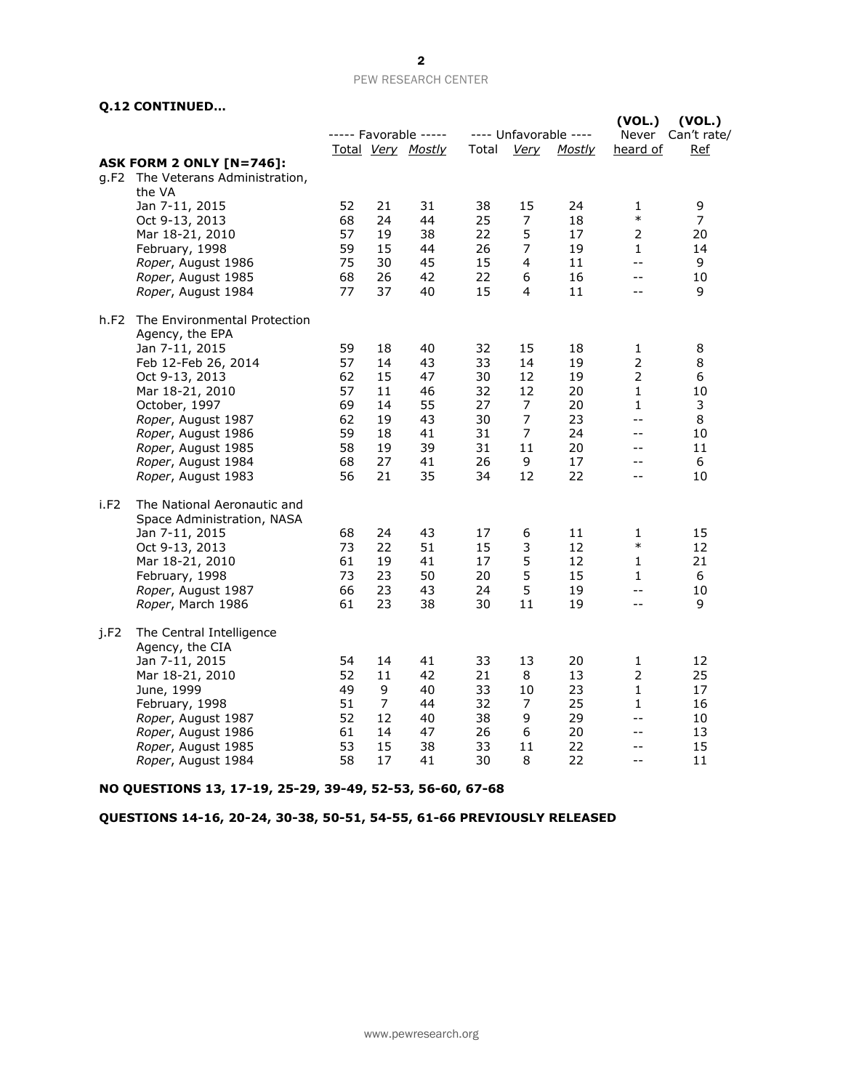## PEW RESEARCH CENTER

# **Q.12 CONTINUED…**

|      | היחדשותו וועט בניט                                        |    |    |                                            |       |                |                                        |                             |                              |
|------|-----------------------------------------------------------|----|----|--------------------------------------------|-------|----------------|----------------------------------------|-----------------------------|------------------------------|
|      |                                                           |    |    | ----- Favorable -----<br>Total Very Mostly | Total | <u>Very</u>    | ---- Unfavorable ----<br><b>Mostly</b> | (VOL.)<br>Never<br>heard of | (VOL.)<br>Can't rate/<br>Ref |
|      | <b>ASK FORM 2 ONLY [N=746]:</b>                           |    |    |                                            |       |                |                                        |                             |                              |
|      | g.F2 The Veterans Administration,<br>the VA               |    |    |                                            |       |                |                                        |                             |                              |
|      | Jan 7-11, 2015                                            | 52 | 21 | 31                                         | 38    | 15             | 24                                     | 1                           | 9                            |
|      | Oct 9-13, 2013                                            | 68 | 24 | 44                                         | 25    | $\overline{7}$ | 18                                     | $\ast$                      | $\overline{7}$               |
|      | Mar 18-21, 2010                                           | 57 | 19 | 38                                         | 22    | 5              | 17                                     | $\overline{2}$              | 20                           |
|      | February, 1998                                            | 59 | 15 | 44                                         | 26    | $\overline{7}$ | 19                                     | $\mathbf{1}$                | 14                           |
|      | Roper, August 1986                                        | 75 | 30 | 45                                         | 15    | 4              | 11                                     | $- -$                       | 9                            |
|      | Roper, August 1985                                        | 68 | 26 | 42                                         | 22    | 6              | 16                                     | $- -$                       | 10                           |
|      | Roper, August 1984                                        | 77 | 37 | 40                                         | 15    | 4              | 11                                     | $ -$                        | 9                            |
| h.F2 | The Environmental Protection<br>Agency, the EPA           |    |    |                                            |       |                |                                        |                             |                              |
|      | Jan 7-11, 2015                                            | 59 | 18 | 40                                         | 32    | 15             | 18                                     | 1                           | 8                            |
|      | Feb 12-Feb 26, 2014                                       | 57 | 14 | 43                                         | 33    | 14             | 19                                     | $\overline{2}$              | 8                            |
|      | Oct 9-13, 2013                                            | 62 | 15 | 47                                         | 30    | 12             | 19                                     | $\overline{2}$              | 6                            |
|      | Mar 18-21, 2010                                           | 57 | 11 | 46                                         | 32    | 12             | 20                                     | $\mathbf{1}$                | 10                           |
|      | October, 1997                                             | 69 | 14 | 55                                         | 27    | $\overline{7}$ | 20                                     | $\mathbf{1}$                | 3                            |
|      | Roper, August 1987                                        | 62 | 19 | 43                                         | 30    | 7              | 23                                     | $- -$                       | 8                            |
|      | Roper, August 1986                                        | 59 | 18 | 41                                         | 31    | $\overline{7}$ | 24                                     | $- -$                       | 10                           |
|      | Roper, August 1985                                        | 58 | 19 | 39                                         | 31    | 11             | 20                                     | --                          | 11                           |
|      | Roper, August 1984                                        | 68 | 27 | 41                                         | 26    | 9              | 17                                     | $-$                         | 6                            |
|      | Roper, August 1983                                        | 56 | 21 | 35                                         | 34    | 12             | 22                                     | $- -$                       | 10                           |
| i.F2 | The National Aeronautic and<br>Space Administration, NASA |    |    |                                            |       |                |                                        |                             |                              |
|      | Jan 7-11, 2015                                            | 68 | 24 | 43                                         | 17    | 6              | 11                                     | 1                           | 15                           |
|      | Oct 9-13, 2013                                            | 73 | 22 | 51                                         | 15    | 3              | 12                                     | $\ast$                      | 12                           |
|      | Mar 18-21, 2010                                           | 61 | 19 | 41                                         | 17    | 5              | 12                                     | 1                           | 21                           |
|      | February, 1998                                            | 73 | 23 | 50                                         | 20    | 5              | 15                                     | 1                           | 6                            |
|      | Roper, August 1987                                        | 66 | 23 | 43                                         | 24    | 5              | 19                                     | $- -$                       | 10                           |
|      | Roper, March 1986                                         | 61 | 23 | 38                                         | 30    | 11             | 19                                     | $ -$                        | 9                            |
| i.F2 | The Central Intelligence                                  |    |    |                                            |       |                |                                        |                             |                              |
|      | Agency, the CIA                                           |    |    |                                            |       |                |                                        |                             |                              |
|      | Jan 7-11, 2015                                            | 54 | 14 | 41                                         | 33    | 13             | 20                                     | $\mathbf{1}$                | 12                           |
|      | Mar 18-21, 2010                                           | 52 | 11 | 42                                         | 21    | 8              | 13                                     | $\overline{2}$              | 25                           |
|      | June, 1999                                                | 49 | 9  | 40                                         | 33    | 10             | 23                                     | $\mathbf{1}$                | 17                           |
|      | February, 1998                                            | 51 | 7  | 44                                         | 32    | 7              | 25                                     | $\mathbf{1}$                | 16                           |
|      | Roper, August 1987                                        | 52 | 12 | 40                                         | 38    | 9              | 29                                     | $- -$                       | 10                           |
|      | Roper, August 1986                                        | 61 | 14 | 47                                         | 26    | 6              | 20                                     | $-$                         | 13                           |
|      | Roper, August 1985                                        | 53 | 15 | 38                                         | 33    | 11             | 22                                     | --                          | 15                           |
|      | Roper, August 1984                                        | 58 | 17 | 41                                         | 30    | 8              | 22                                     | $-$                         | 11                           |

**NO QUESTIONS 13, 17-19, 25-29, 39-49, 52-53, 56-60, 67-68**

**QUESTIONS 14-16, 20-24, 30-38, 50-51, 54-55, 61-66 PREVIOUSLY RELEASED**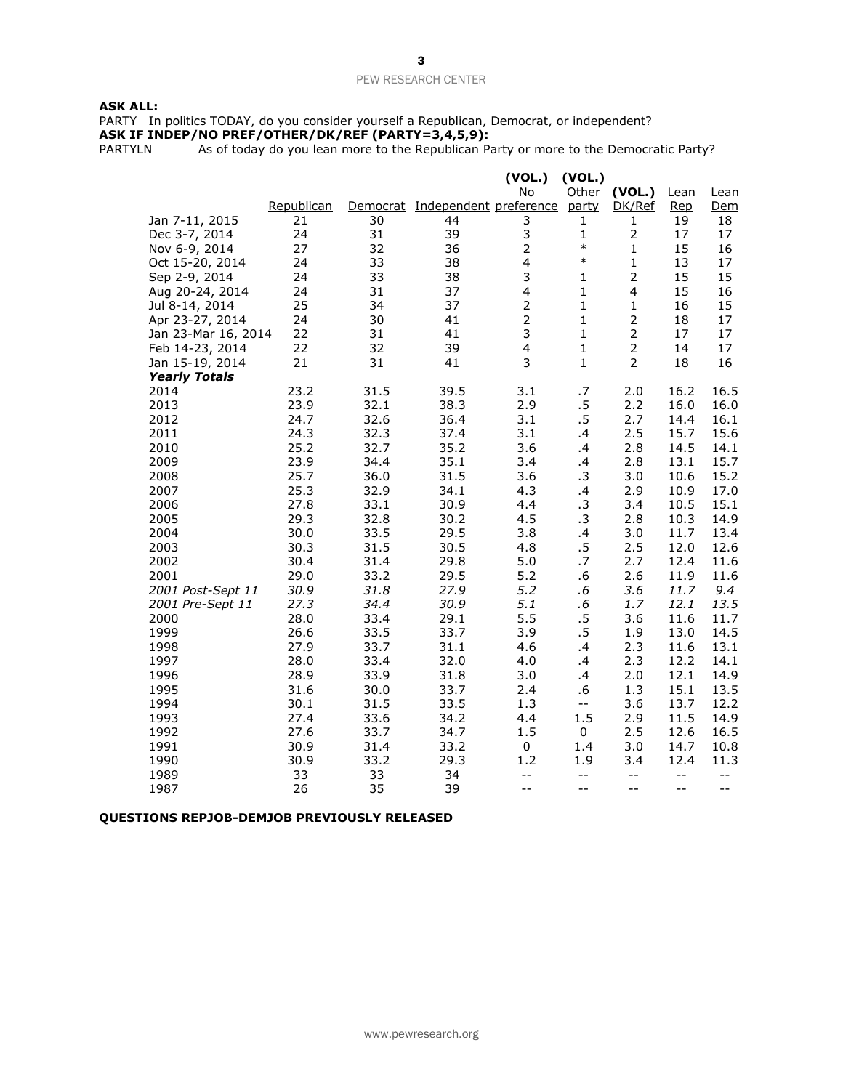# **ASK ALL:**

PARTY In politics TODAY, do you consider yourself a Republican, Democrat, or independent? **ASK IF INDEP/NO PREF/OTHER/DK/REF (PARTY=3,4,5,9):**

PARTYLN As of today do you lean more to the Republican Party or more to the Democratic Party?

|                      |            |      |                                 | (VOL.)         | (VOL.)                                        |                |       |       |
|----------------------|------------|------|---------------------------------|----------------|-----------------------------------------------|----------------|-------|-------|
|                      |            |      |                                 | <b>No</b>      | Other                                         | (VOL.)         | Lean  | Lean  |
|                      | Republican |      | Democrat Independent preference |                | party                                         | DK/Ref         | Rep   | Dem   |
| Jan 7-11, 2015       | 21         | 30   | 44                              | 3              | 1                                             | 1              | 19    | 18    |
| Dec 3-7, 2014        | 24         | 31   | 39                              | 3              | $\mathbf 1$                                   | $\mathbf 2$    | 17    | 17    |
| Nov 6-9, 2014        | 27         | 32   | 36                              | $\overline{2}$ | $\ast$                                        | $\mathbf{1}$   | 15    | 16    |
| Oct 15-20, 2014      | 24         | 33   | 38                              | 4              | $\ast$                                        | 1              | 13    | 17    |
| Sep 2-9, 2014        | 24         | 33   | 38                              | 3              | 1                                             | $\overline{2}$ | 15    | 15    |
| Aug 20-24, 2014      | 24         | 31   | 37                              | 4              | $\mathbf{1}$                                  | 4              | 15    | 16    |
| Jul 8-14, 2014       | 25         | 34   | 37                              | $\overline{2}$ | $\mathbf{1}$                                  | 1              | 16    | 15    |
| Apr 23-27, 2014      | 24         | 30   | 41                              | $\overline{2}$ | $\mathbf{1}$                                  | $\overline{2}$ | 18    | 17    |
| Jan 23-Mar 16, 2014  | 22         | 31   | 41                              | 3              | $\mathbf{1}$                                  | $\overline{2}$ | 17    | 17    |
| Feb 14-23, 2014      | 22         | 32   | 39                              | 4              | $\mathbf{1}$                                  | $\overline{2}$ | 14    | 17    |
| Jan 15-19, 2014      | 21         | 31   | 41                              | 3              | 1                                             | $\overline{2}$ | 18    | 16    |
| <b>Yearly Totals</b> |            |      |                                 |                |                                               |                |       |       |
| 2014                 | 23.2       | 31.5 | 39.5                            | 3.1            | .7                                            | 2.0            | 16.2  | 16.5  |
| 2013                 | 23.9       | 32.1 | 38.3                            | 2.9            | $.5\,$                                        | 2.2            | 16.0  | 16.0  |
| 2012                 | 24.7       | 32.6 | 36.4                            | 3.1            | .5                                            | 2.7            | 14.4  | 16.1  |
| 2011                 | 24.3       | 32.3 | 37.4                            | 3.1            | .4                                            | 2.5            | 15.7  | 15.6  |
| 2010                 | 25.2       | 32.7 | 35.2                            | 3.6            | .4                                            | 2.8            | 14.5  | 14.1  |
| 2009                 | 23.9       | 34.4 | 35.1                            | 3.4            | .4                                            | 2.8            | 13.1  | 15.7  |
| 2008                 | 25.7       | 36.0 | 31.5                            | 3.6            | .3                                            | 3.0            | 10.6  | 15.2  |
| 2007                 | 25.3       | 32.9 | 34.1                            | 4.3            | $\cdot$                                       | 2.9            | 10.9  | 17.0  |
| 2006                 | 27.8       | 33.1 | 30.9                            | 4.4            | .3                                            | 3.4            | 10.5  | 15.1  |
| 2005                 | 29.3       | 32.8 | 30.2                            | 4.5            | .3                                            | 2.8            | 10.3  | 14.9  |
| 2004                 | 30.0       | 33.5 | 29.5                            | 3.8            | $\cdot$                                       | 3.0            | 11.7  | 13.4  |
| 2003                 | 30.3       | 31.5 | 30.5                            | 4.8            | $.5\,$                                        | 2.5            | 12.0  | 12.6  |
| 2002                 | 30.4       | 31.4 | 29.8                            | 5.0            | .7                                            | 2.7            | 12.4  | 11.6  |
| 2001                 | 29.0       | 33.2 | 29.5                            | 5.2            | .6                                            | 2.6            | 11.9  | 11.6  |
| 2001 Post-Sept 11    | 30.9       | 31.8 | 27.9                            | 5.2            | .6                                            | 3.6            | 11.7  | 9.4   |
| 2001 Pre-Sept 11     | 27.3       | 34.4 | 30.9                            | 5.1            | .6                                            | 1.7            | 12.1  | 13.5  |
| 2000                 | 28.0       | 33.4 | 29.1                            | 5.5            | $.5\,$                                        | 3.6            | 11.6  | 11.7  |
| 1999                 | 26.6       | 33.5 | 33.7                            | 3.9            | .5                                            | 1.9            | 13.0  | 14.5  |
| 1998                 | 27.9       | 33.7 | 31.1                            | 4.6            | .4                                            | 2.3            | 11.6  | 13.1  |
| 1997                 | 28.0       | 33.4 | 32.0                            | 4.0            | .4                                            | 2.3            | 12.2  | 14.1  |
| 1996                 | 28.9       | 33.9 | 31.8                            | 3.0            | $\cdot$                                       | 2.0            | 12.1  | 14.9  |
| 1995                 | 31.6       | 30.0 | 33.7                            | 2.4            | .6                                            | 1.3            | 15.1  | 13.5  |
| 1994                 | 30.1       | 31.5 | 33.5                            | 1.3            | $\mathord{\hspace{1pt}\text{--}\hspace{1pt}}$ | 3.6            | 13.7  | 12.2  |
| 1993                 | 27.4       | 33.6 | 34.2                            | 4.4            | 1.5                                           | 2.9            | 11.5  | 14.9  |
| 1992                 | 27.6       | 33.7 | 34.7                            | 1.5            | 0                                             | 2.5            | 12.6  | 16.5  |
| 1991                 | 30.9       | 31.4 | 33.2                            | 0              | 1.4                                           | 3.0            | 14.7  | 10.8  |
| 1990                 | 30.9       | 33.2 | 29.3                            | 1.2            | 1.9                                           | 3.4            | 12.4  | 11.3  |
| 1989                 | 33         | 33   | 34                              | $- -$          | $- -$                                         | $- -$          | $- -$ | $- -$ |
| 1987                 | 26         | 35   | 39                              | $-$            | $- -$                                         | $- -$          | $- -$ | $-$   |

# **QUESTIONS REPJOB-DEMJOB PREVIOUSLY RELEASED**